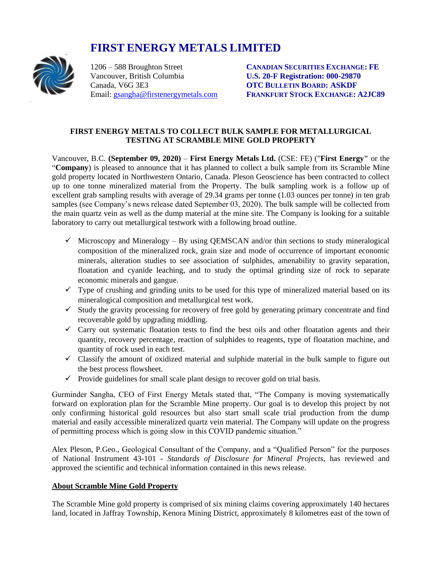# **FIRST ENERGY METALS LIMITED**



Vancouver, British Columbia **U.S. 20-F Registration: 000-29870** Canada, V6G 3E3 **OTC BULLETIN BOARD: ASKDF**

1206 – 588 Broughton Street **CANADIAN SECURITIES EXCHANGE: FE** Email: [gsangha@firstenergymetals.com](mailto:gsangha@firstenergymetals.com) **FRANKFURT STOCK EXCHANGE: A2JC89**

## **FIRST ENERGY METALS TO COLLECT BULK SAMPLE FOR METALLURGICAL TESTING AT SCRAMBLE MINE GOLD PROPERTY**

Vancouver, B.C. **(September 09, 2020)** – **First Energy Metals Ltd.** (CSE: FE) ("**First Energy"** or the "**Company**) is pleased to announce that it has planned to collect a bulk sample from its Scramble Mine gold property located in Northwestern Ontario, Canada. Pleson Geoscience has been contracted to collect up to one tonne mineralized material from the Property. The bulk sampling work is a follow up of excellent grab sampling results with average of 29.34 grams per tonne (1.03 ounces per tonne) in ten grab samples (see Company's news release dated September 03, 2020). The bulk sample will be collected from the main quartz vein as well as the dump material at the mine site. The Company is looking for a suitable laboratory to carry out metallurgical testwork with a following broad outline.

- $\checkmark$  Microscopy and Mineralogy By using QEMSCAN and/or thin sections to study mineralogical composition of the mineralized rock, grain size and mode of occurrence of important economic minerals, alteration studies to see association of sulphides, amenability to gravity separation, floatation and cyanide leaching, and to study the optimal grinding size of rock to separate economic minerals and gangue.
- $\checkmark$  Type of crushing and grinding units to be used for this type of mineralized material based on its mineralogical composition and metallurgical test work.
- $\checkmark$  Study the gravity processing for recovery of free gold by generating primary concentrate and find recoverable gold by upgrading middling.
- $\checkmark$  Carry out systematic floatation tests to find the best oils and other floatation agents and their quantity, recovery percentage, reaction of sulphides to reagents, type of floatation machine, and quantity of rock used in each test.
- $\checkmark$  Classify the amount of oxidized material and sulphide material in the bulk sample to figure out the best process flowsheet.
- $\checkmark$  Provide guidelines for small scale plant design to recover gold on trial basis.

Gurminder Sangha, CEO of First Energy Metals stated that, "The Company is moving systematically forward on exploration plan for the Scramble Mine property. Our goal is to develop this project by not only confirming historical gold resources but also start small scale trial production from the dump material and easily accessible mineralized quartz vein material. The Company will update on the progress of permitting process which is going slow in this COVID pandemic situation."

Alex Pleson, P.Geo., Geological Consultant of the Company, and a "Qualified Person" for the purposes of National Instrument 43-101 - *Standards of Disclosure for Mineral Projects*, has reviewed and approved the scientific and technical information contained in this news release.

## **About Scramble Mine Gold Property**

The Scramble Mine gold property is comprised of six mining claims covering approximately 140 hectares land, located in Jaffray Township, Kenora Mining District, approximately 8 kilometres east of the town of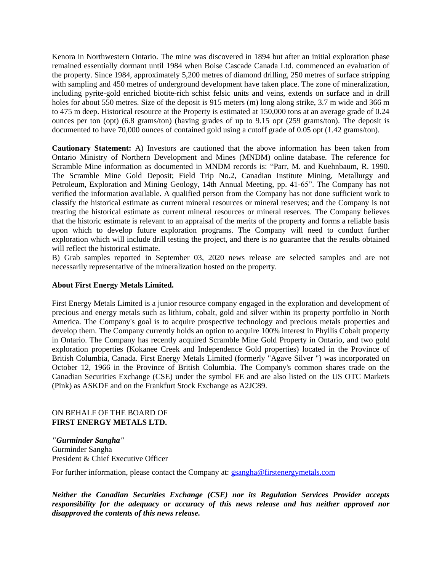Kenora in Northwestern Ontario. The mine was discovered in 1894 but after an initial exploration phase remained essentially dormant until 1984 when Boise Cascade Canada Ltd. commenced an evaluation of the property. Since 1984, approximately 5,200 metres of diamond drilling, 250 metres of surface stripping with sampling and 450 metres of underground development have taken place. The zone of mineralization, including pyrite-gold enriched biotite-rich schist felsic units and veins, extends on surface and in drill holes for about 550 metres. Size of the deposit is 915 meters (m) long along strike, 3.7 m wide and 366 m to 475 m deep. Historical resource at the Property is estimated at 150,000 tons at an average grade of 0.24 ounces per ton (opt) (6.8 grams/ton) (having grades of up to 9.15 opt (259 grams/ton). The deposit is documented to have 70,000 ounces of contained gold using a cutoff grade of 0.05 opt (1.42 grams/ton).

**Cautionary Statement:** A) Investors are cautioned that the above information has been taken from Ontario Ministry of Northern Development and Mines (MNDM) online database. The reference for Scramble Mine information as documented in MNDM records is: "Parr, M. and Kuehnbaum, R. 1990. The Scramble Mine Gold Deposit; Field Trip No.2, Canadian Institute Mining, Metallurgy and Petroleum, Exploration and Mining Geology, 14th Annual Meeting, pp. 41-65". The Company has not verified the information available. A qualified person from the Company has not done sufficient work to classify the historical estimate as current mineral resources or mineral reserves; and the Company is not treating the historical estimate as current mineral resources or mineral reserves. The Company believes that the historic estimate is relevant to an appraisal of the merits of the property and forms a reliable basis upon which to develop future exploration programs. The Company will need to conduct further exploration which will include drill testing the project, and there is no guarantee that the results obtained will reflect the historical estimate.

B) Grab samples reported in September 03, 2020 news release are selected samples and are not necessarily representative of the mineralization hosted on the property.

#### **About First Energy Metals Limited.**

First Energy Metals Limited is a junior resource company engaged in the exploration and development of precious and energy metals such as lithium, cobalt, gold and silver within its property portfolio in North America. The Company's goal is to acquire prospective technology and precious metals properties and develop them. The Company currently holds an option to acquire 100% interest in Phyllis Cobalt property in Ontario. The Company has recently acquired Scramble Mine Gold Property in Ontario, and two gold exploration properties (Kokanee Creek and Independence Gold properties) located in the Province of British Columbia, Canada. First Energy Metals Limited (formerly "Agave Silver ") was incorporated on October 12, 1966 in the Province of British Columbia. The Company's common shares trade on the Canadian Securities Exchange (CSE) under the symbol FE and are also listed on the US OTC Markets (Pink) as ASKDF and on the Frankfurt Stock Exchange as A2JC89.

### ON BEHALF OF THE BOARD OF **FIRST ENERGY METALS LTD.**

*"Gurminder Sangha"* Gurminder Sangha President & Chief Executive Officer

For further information, please contact the Company at:  $g<sub>sample</sub>$  of firstenergymetals.com

*Neither the Canadian Securities Exchange (CSE) nor its Regulation Services Provider accepts responsibility for the adequacy or accuracy of this news release and has neither approved nor disapproved the contents of this news release.*